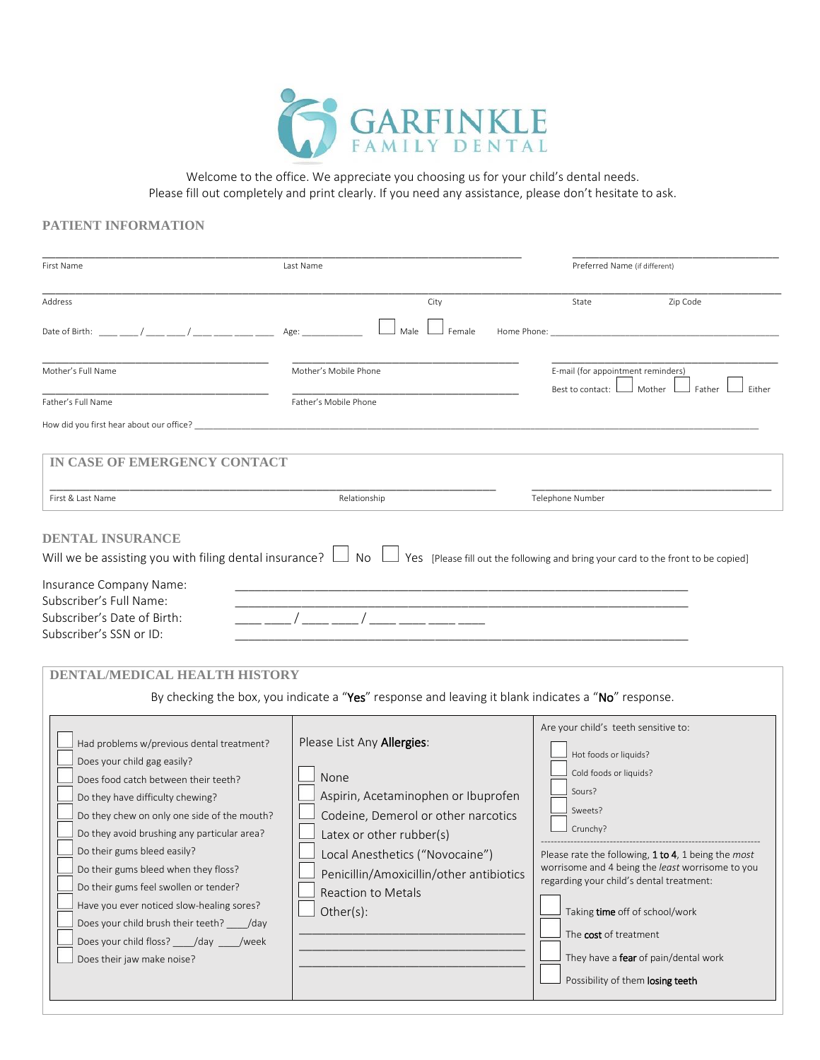

Welcome to the office. We appreciate you choosing us for your child's dental needs. Please fill out completely and print clearly. If you need any assistance, please don't hesitate to ask.

## **PATIENT INFORMATION**

| First Name                                                                                                                                                                                                                                                                                                                                                                                                                                                                                                                                   | Last Name                                                                                                                                                                                                                                                                                                                                                            | Preferred Name (if different)                                                                                                                                                                                                                                                                                                                                                                                          |  |
|----------------------------------------------------------------------------------------------------------------------------------------------------------------------------------------------------------------------------------------------------------------------------------------------------------------------------------------------------------------------------------------------------------------------------------------------------------------------------------------------------------------------------------------------|----------------------------------------------------------------------------------------------------------------------------------------------------------------------------------------------------------------------------------------------------------------------------------------------------------------------------------------------------------------------|------------------------------------------------------------------------------------------------------------------------------------------------------------------------------------------------------------------------------------------------------------------------------------------------------------------------------------------------------------------------------------------------------------------------|--|
| Address<br>Date of Birth: ____ ___ / ____ __ / ____ _ /                                                                                                                                                                                                                                                                                                                                                                                                                                                                                      | City<br>Female<br>Home Phone:<br>Age:<br>Male                                                                                                                                                                                                                                                                                                                        | Zip Code<br>State                                                                                                                                                                                                                                                                                                                                                                                                      |  |
| Mother's Full Name<br>Father's Full Name<br>How did you first hear about our office? The state of the state of the state of the state of the state of the state of the state of the state of the state of the state of the state of the state of the state of the state of                                                                                                                                                                                                                                                                   | Mother's Mobile Phone<br>Father's Mobile Phone                                                                                                                                                                                                                                                                                                                       | E-mail (for appointment reminders)<br>Best to contact: L<br>J Mother l<br>Father<br>Either                                                                                                                                                                                                                                                                                                                             |  |
| IN CASE OF EMERGENCY CONTACT<br>First & Last Name                                                                                                                                                                                                                                                                                                                                                                                                                                                                                            | Relationship                                                                                                                                                                                                                                                                                                                                                         | Telephone Number                                                                                                                                                                                                                                                                                                                                                                                                       |  |
| Will we be assisting you with filing dental insurance? $\Box$ No $\Box$<br>Insurance Company Name:<br>Subscriber's Full Name:<br>Subscriber's Date of Birth:<br>Subscriber's SSN or ID:<br><b>DENTAL/MEDICAL HEALTH HISTORY</b>                                                                                                                                                                                                                                                                                                              |                                                                                                                                                                                                                                                                                                                                                                      | Yes [Please fill out the following and bring your card to the front to be copied]                                                                                                                                                                                                                                                                                                                                      |  |
| Had problems w/previous dental treatment?<br>Does your child gag easily?<br>Does food catch between their teeth?<br>Do they have difficulty chewing?<br>Do they chew on only one side of the mouth?<br>Do they avoid brushing any particular area?<br>Do their gums bleed easily?<br>Do their gums bleed when they floss?<br>Do their gums feel swollen or tender?<br>Have you ever noticed slow-healing sores?<br>Does your child brush their teeth? _____/day<br>Does your child floss? _____/day _____/week<br>Does their jaw make noise? | By checking the box, you indicate a "Yes" response and leaving it blank indicates a "No" response.<br>Please List Any Allergies:<br>None<br>Aspirin, Acetaminophen or Ibuprofen<br>Codeine, Demerol or other narcotics<br>Latex or other rubber(s)<br>Local Anesthetics ("Novocaine")<br>Penicillin/Amoxicillin/other antibiotics<br>Reaction to Metals<br>Other(s): | Are your child's teeth sensitive to:<br>Hot foods or liquids?<br>Cold foods or liquids?<br>Sours?<br>Sweets?<br>Crunchy?<br>Please rate the following, 1 to 4, 1 being the most<br>worrisome and 4 being the least worrisome to you<br>regarding your child's dental treatment:<br>Taking time off of school/work<br>The cost of treatment<br>They have a fear of pain/dental work<br>Possibility of them losing teeth |  |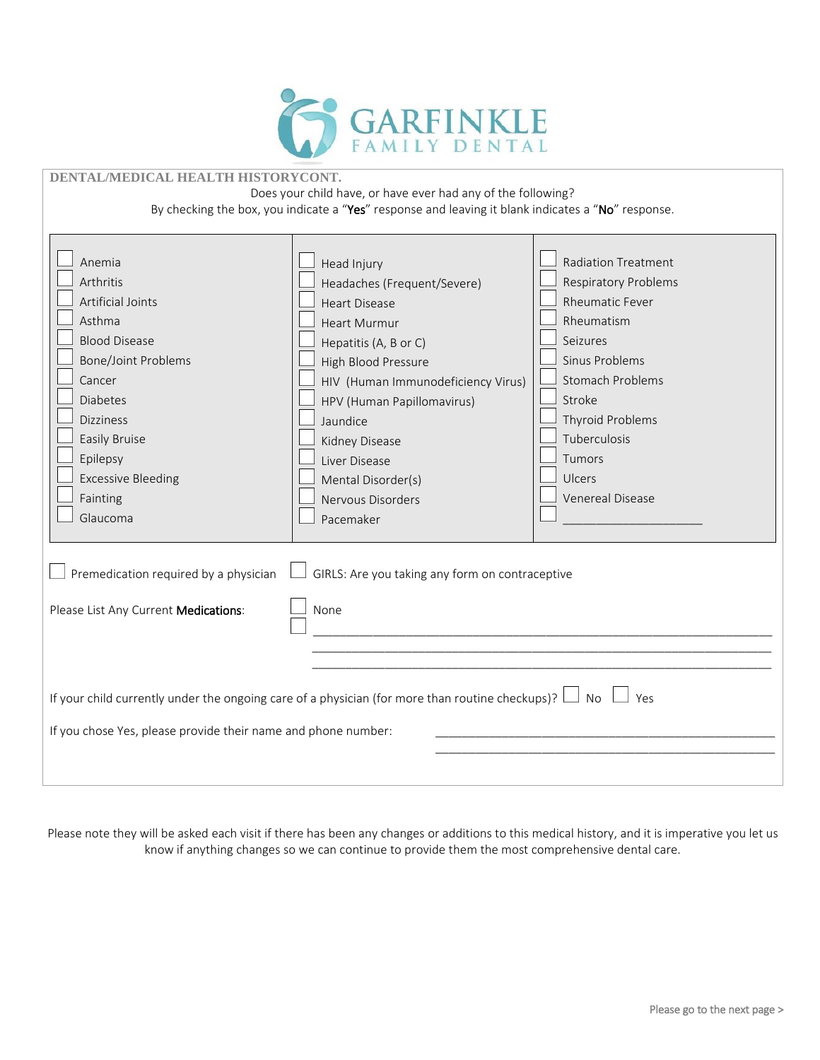

| DENTAL/MEDICAL HEALTH HISTORYCONT.                                                                                                                                                                                                                 |                                                                                                                                                                                                                                                                                                                      |                                                                                                                                                                                                                                                  |  |  |  |
|----------------------------------------------------------------------------------------------------------------------------------------------------------------------------------------------------------------------------------------------------|----------------------------------------------------------------------------------------------------------------------------------------------------------------------------------------------------------------------------------------------------------------------------------------------------------------------|--------------------------------------------------------------------------------------------------------------------------------------------------------------------------------------------------------------------------------------------------|--|--|--|
| Does your child have, or have ever had any of the following?                                                                                                                                                                                       |                                                                                                                                                                                                                                                                                                                      |                                                                                                                                                                                                                                                  |  |  |  |
| By checking the box, you indicate a "Yes" response and leaving it blank indicates a "No" response.                                                                                                                                                 |                                                                                                                                                                                                                                                                                                                      |                                                                                                                                                                                                                                                  |  |  |  |
| Anemia<br>Arthritis<br><b>Artificial Joints</b><br>Asthma<br><b>Blood Disease</b><br><b>Bone/Joint Problems</b><br>Cancer<br><b>Diabetes</b><br><b>Dizziness</b><br>Easily Bruise<br>Epilepsy<br><b>Excessive Bleeding</b><br>Fainting<br>Glaucoma | Head Injury<br>Headaches (Frequent/Severe)<br><b>Heart Disease</b><br><b>Heart Murmur</b><br>Hepatitis (A, B or C)<br>High Blood Pressure<br>HIV (Human Immunodeficiency Virus)<br>HPV (Human Papillomavirus)<br>Jaundice<br>Kidney Disease<br>Liver Disease<br>Mental Disorder(s)<br>Nervous Disorders<br>Pacemaker | <b>Radiation Treatment</b><br><b>Respiratory Problems</b><br><b>Rheumatic Fever</b><br>Rheumatism<br>Seizures<br>Sinus Problems<br><b>Stomach Problems</b><br>Stroke<br>Thyroid Problems<br>Tuberculosis<br>Tumors<br>Ulcers<br>Venereal Disease |  |  |  |
| Premedication required by a physician                                                                                                                                                                                                              | GIRLS: Are you taking any form on contraceptive                                                                                                                                                                                                                                                                      |                                                                                                                                                                                                                                                  |  |  |  |
| Please List Any Current Medications:                                                                                                                                                                                                               | None                                                                                                                                                                                                                                                                                                                 |                                                                                                                                                                                                                                                  |  |  |  |
| If your child currently under the ongoing care of a physician (for more than routine checkups)? $\lfloor$<br>$\Box$ No<br>Yes<br>If you chose Yes, please provide their name and phone number:                                                     |                                                                                                                                                                                                                                                                                                                      |                                                                                                                                                                                                                                                  |  |  |  |
|                                                                                                                                                                                                                                                    |                                                                                                                                                                                                                                                                                                                      |                                                                                                                                                                                                                                                  |  |  |  |

Please note they will be asked each visit if there has been any changes or additions to this medical history, and it is imperative you let us know if anything changes so we can continue to provide them the most comprehensive dental care.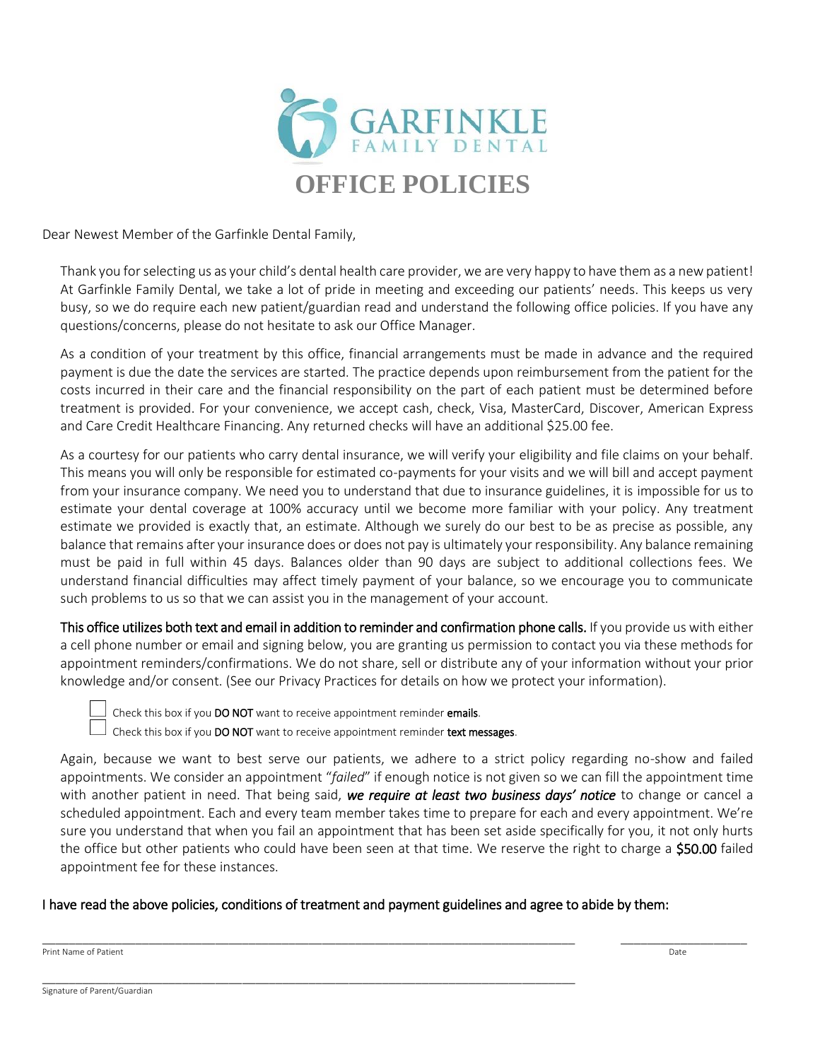

Dear Newest Member of the Garfinkle Dental Family,

Thank you for selecting us as your child's dental health care provider, we are very happy to have them as a new patient! At Garfinkle Family Dental, we take a lot of pride in meeting and exceeding our patients' needs. This keeps us very busy, so we do require each new patient/guardian read and understand the following office policies. If you have any questions/concerns, please do not hesitate to ask our Office Manager.

As a condition of your treatment by this office, financial arrangements must be made in advance and the required payment is due the date the services are started. The practice depends upon reimbursement from the patient for the costs incurred in their care and the financial responsibility on the part of each patient must be determined before treatment is provided. For your convenience, we accept cash, check, Visa, MasterCard, Discover, American Express and Care Credit Healthcare Financing. Any returned checks will have an additional \$25.00 fee.

As a courtesy for our patients who carry dental insurance, we will verify your eligibility and file claims on your behalf. This means you will only be responsible for estimated co-payments for your visits and we will bill and accept payment from your insurance company. We need you to understand that due to insurance guidelines, it is impossible for us to estimate your dental coverage at 100% accuracy until we become more familiar with your policy. Any treatment estimate we provided is exactly that, an estimate. Although we surely do our best to be as precise as possible, any balance that remains after your insurance does or does not pay is ultimately your responsibility. Any balance remaining must be paid in full within 45 days. Balances older than 90 days are subject to additional collections fees. We understand financial difficulties may affect timely payment of your balance, so we encourage you to communicate such problems to us so that we can assist you in the management of your account.

This office utilizes both text and email in addition to reminder and confirmation phone calls. If you provide us with either a cell phone number or email and signing below, you are granting us permission to contact you via these methods for appointment reminders/confirmations. We do not share, sell or distribute any of your information without your prior knowledge and/or consent. (See our Privacy Practices for details on how we protect your information).

Check this box if you DO NOT want to receive appointment reminder emails.

Check this box if you **DO NOT** want to receive appointment reminder **text messages**.

\_\_\_\_\_\_\_\_\_\_\_\_\_\_\_\_\_\_\_\_\_\_\_\_\_\_\_\_\_\_\_\_\_\_\_\_\_\_\_\_\_\_\_\_\_\_\_\_\_\_\_\_\_\_\_\_\_\_\_\_\_\_\_\_\_\_\_\_\_\_\_\_\_\_\_\_\_\_\_\_

Again, because we want to best serve our patients, we adhere to a strict policy regarding no-show and failed appointments. We consider an appointment "*failed*" if enough notice is not given so we can fill the appointment time with another patient in need. That being said, *we require at least two business days' notice* to change or cancel a scheduled appointment. Each and every team member takes time to prepare for each and every appointment. We're sure you understand that when you fail an appointment that has been set aside specifically for you, it not only hurts the office but other patients who could have been seen at that time. We reserve the right to charge a \$50.00 failed appointment fee for these instances.

\_\_\_\_\_\_\_\_\_\_\_\_\_\_\_\_\_\_\_\_\_\_\_\_\_\_\_\_\_\_\_\_\_\_\_\_\_\_\_\_\_\_\_\_\_\_\_\_\_\_\_\_\_\_\_\_\_\_\_\_\_\_\_\_\_\_\_\_\_\_\_\_\_\_\_\_\_\_\_\_ \_\_\_\_\_\_\_\_\_\_\_\_\_\_\_\_\_\_\_

## I have read the above policies, conditions of treatment and payment guidelines and agree to abide by them:

Print Name of Patient Date of Patient Date of Patient Date of Patient Date of Patient Date of Patient Date of Patient Date of Patient Date of Patient Date of Patient Date of Patient Date of Patient Date of Patient Date of